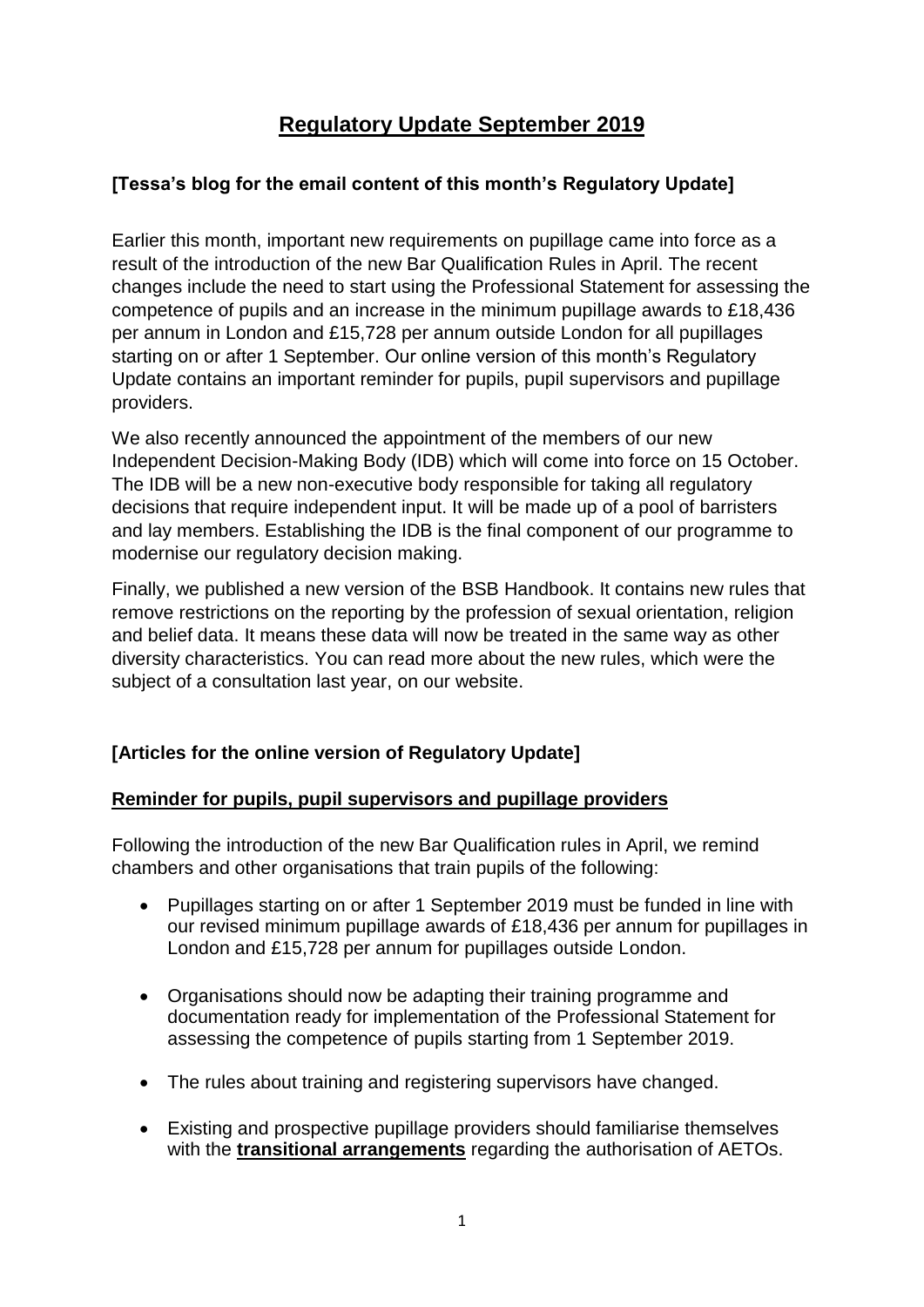# **Regulatory Update September 2019**

# **[Tessa's blog for the email content of this month's Regulatory Update]**

Earlier this month, important new requirements on pupillage came into force as a result of the introduction of the new Bar Qualification Rules in April. The recent changes include the need to start using the Professional Statement for assessing the competence of pupils and an increase in the minimum pupillage awards to £18,436 per annum in London and £15,728 per annum outside London for all pupillages starting on or after 1 September. Our online version of this month's Regulatory Update contains an important reminder for pupils, pupil supervisors and pupillage providers.

We also recently announced the appointment of the members of our new Independent Decision-Making Body (IDB) which will come into force on 15 October. The IDB will be a new non-executive body responsible for taking all regulatory decisions that require independent input. It will be made up of a pool of barristers and lay members. Establishing the IDB is the final component of our programme to modernise our regulatory decision making.

Finally, we published a new version of the BSB Handbook. It contains new rules that remove restrictions on the reporting by the profession of sexual orientation, religion and belief data. It means these data will now be treated in the same way as other diversity characteristics. You can read more about the new rules, which were the subject of a consultation last year, on our website.

# **[Articles for the online version of Regulatory Update]**

### **Reminder for pupils, pupil supervisors and pupillage providers**

Following the introduction of the new Bar Qualification rules in April, we remind chambers and other organisations that train pupils of the following:

- Pupillages starting on or after 1 September 2019 must be funded in line with our revised minimum pupillage awards of £18,436 per annum for pupillages in London and £15,728 per annum for pupillages outside London.
- Organisations should now be adapting their training programme and documentation ready for implementation of the Professional Statement for assessing the competence of pupils starting from 1 September 2019.
- The rules about training and registering supervisors have changed.
- Existing and prospective pupillage providers should familiarise themselves with the **[transitional arrangements](https://www.barstandardsboard.org.uk/regulatory-requirements/regulatory-update-2019/bsb-regulatory-update-august-2019/transitional-arrangements-for-existing-ptos-and-prospective-aetos/)** regarding the authorisation of AETOs.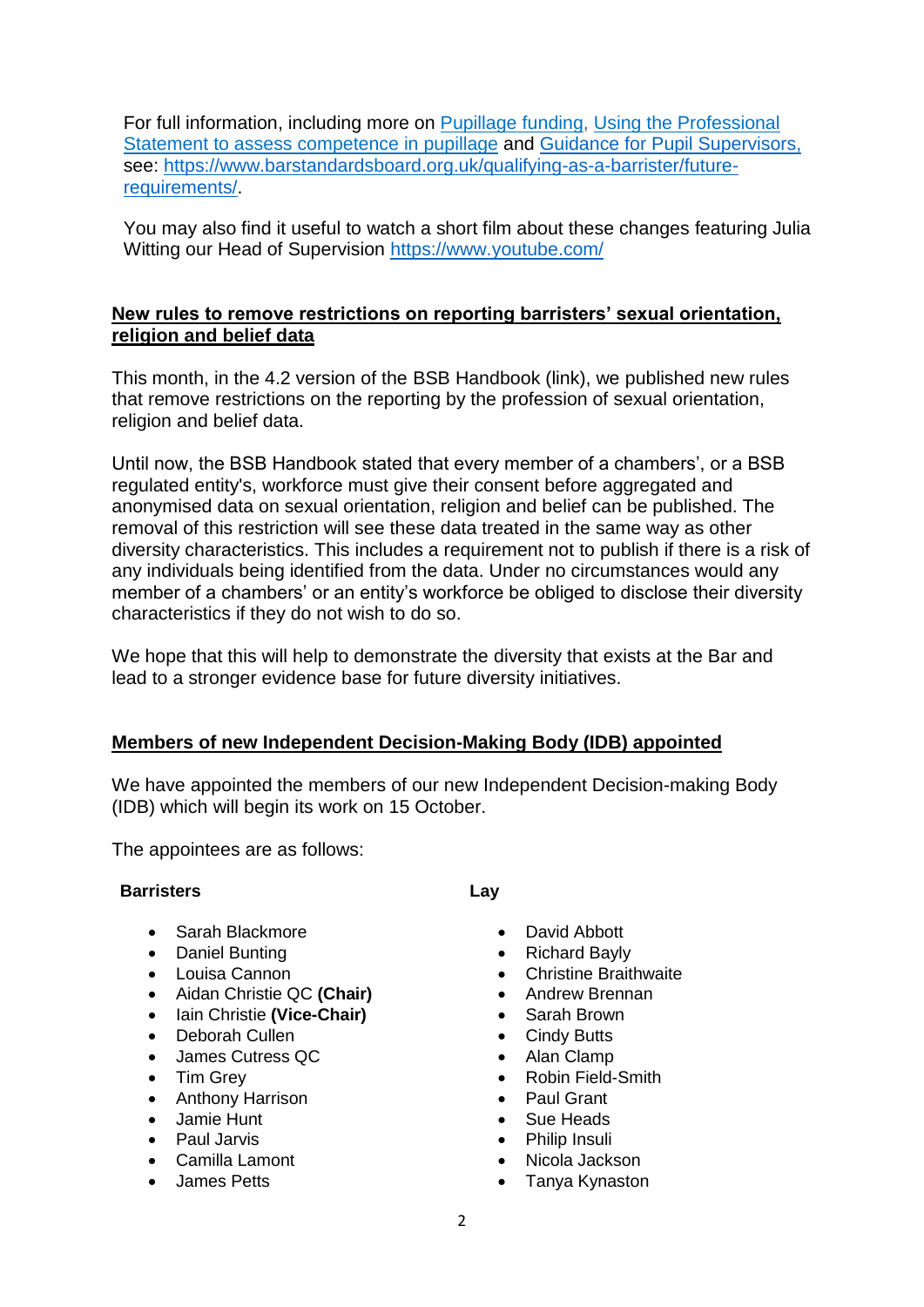For full information, including more on [Pupillage](https://www.barstandardsboard.org.uk/media/1998211/2019_08_pupillage_funding.pdf) funding, Using the [Professional](https://www.barstandardsboard.org.uk/media/1998215/2019_08_professional_statement_to_assess_competence_in_pupillage.pdf) Statement to assess [competence](https://www.barstandardsboard.org.uk/media/1998215/2019_08_professional_statement_to_assess_competence_in_pupillage.pdf) in pupillage and Guidance for Pupil [Supervisors,](Guidance%20for%20Pupil%20Supervisors) see: [https://www.barstandardsboard.org.uk/qualifying-as-a-barrister/future](https://www.barstandardsboard.org.uk/qualifying-as-a-barrister/future-requirements/)[requirements/.](https://www.barstandardsboard.org.uk/qualifying-as-a-barrister/future-requirements/)

You may also find it useful to watch a short film about these changes featuring Julia Witting our Head of Supervision <https://www.youtube.com/>

# **New rules to remove restrictions on reporting barristers' sexual orientation, religion and belief data**

This month, in the 4.2 version of the BSB Handbook (link), we published new rules that remove restrictions on the reporting by the profession of sexual orientation, religion and belief data.

Until now, the BSB Handbook stated that every member of a chambers', or a BSB regulated entity's, workforce must give their consent before aggregated and anonymised data on sexual orientation, religion and belief can be published. The removal of this restriction will see these data treated in the same way as other diversity characteristics. This includes a requirement not to publish if there is a risk of any individuals being identified from the data. Under no circumstances would any member of a chambers' or an entity's workforce be obliged to disclose their diversity characteristics if they do not wish to do so.

We hope that this will help to demonstrate the diversity that exists at the Bar and lead to a stronger evidence base for future diversity initiatives.

# **Members of new Independent Decision-Making Body (IDB) appointed**

We have appointed the members of our new Independent Decision-making Body (IDB) which will begin its work on 15 October.

The appointees are as follows:

### **Barristers Lay**

- Sarah Blackmore
- Daniel Bunting
- Louisa Cannon
- Aidan Christie QC **(Chair)**
- Iain Christie **(Vice-Chair)**
- Deborah Cullen
- James Cutress QC
- Tim Grey
- Anthony Harrison
- Jamie Hunt
- Paul Jarvis
- Camilla Lamont
- James Petts

- David Abbott
- Richard Bayly
- Christine Braithwaite
- Andrew Brennan
- Sarah Brown
- Cindy Butts
- Alan Clamp
- Robin Field-Smith
- Paul Grant
- Sue Heads
- Philip Insuli
- Nicola Jackson
- Tanya Kynaston